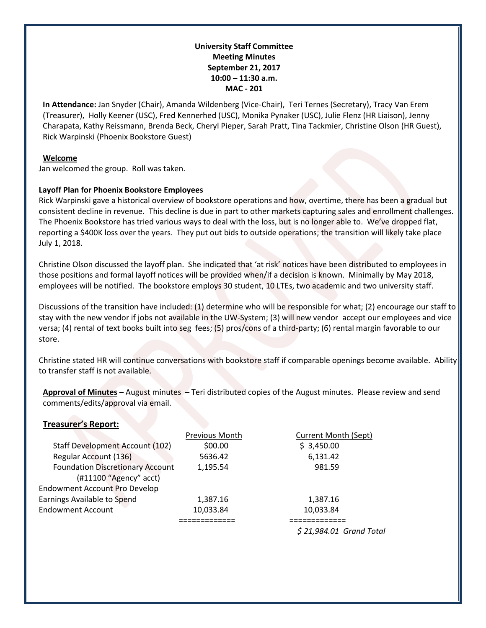## **University Staff Committee Meeting Minutes September 21, 2017 10:00 – 11:30 a.m. MAC - 201**

**In Attendance:** Jan Snyder (Chair), Amanda Wildenberg (Vice-Chair), Teri Ternes (Secretary), Tracy Van Erem (Treasurer), Holly Keener (USC), Fred Kennerhed (USC), Monika Pynaker (USC), Julie Flenz (HR Liaison), Jenny Charapata, Kathy Reissmann, Brenda Beck, Cheryl Pieper, Sarah Pratt, Tina Tackmier, Christine Olson (HR Guest), Rick Warpinski (Phoenix Bookstore Guest)

#### **Welcome**

Jan welcomed the group. Roll was taken.

## **Layoff Plan for Phoenix Bookstore Employees**

Rick Warpinski gave a historical overview of bookstore operations and how, overtime, there has been a gradual but consistent decline in revenue. This decline is due in part to other markets capturing sales and enrollment challenges. The Phoenix Bookstore has tried various ways to deal with the loss, but is no longer able to. We've dropped flat, reporting a \$400K loss over the years. They put out bids to outside operations; the transition will likely take place July 1, 2018.

Christine Olson discussed the layoff plan. She indicated that 'at risk' notices have been distributed to employees in those positions and formal layoff notices will be provided when/if a decision is known. Minimally by May 2018, employees will be notified. The bookstore employs 30 student, 10 LTEs, two academic and two university staff.

Discussions of the transition have included: (1) determine who will be responsible for what; (2) encourage our staff to stay with the new vendor if jobs not available in the UW-System; (3) will new vendor accept our employees and vice versa; (4) rental of text books built into seg fees; (5) pros/cons of a third-party; (6) rental margin favorable to our store.

Christine stated HR will continue conversations with bookstore staff if comparable openings become available. Ability to transfer staff is not available.

**Approval of Minutes** – August minutes – Teri distributed copies of the August minutes. Please review and send comments/edits/approval via email.

# **Treasurer's Report:**

|                                         | Previous Month | Current Month (Sept)    |
|-----------------------------------------|----------------|-------------------------|
| <b>Staff Development Account (102)</b>  | \$00.00        | \$3,450.00              |
| Regular Account (136)                   | 5636.42        | 6,131.42                |
| <b>Foundation Discretionary Account</b> | 1,195.54       | 981.59                  |
| (#11100 "Agency" acct)                  |                |                         |
| <b>Endowment Account Pro Develop</b>    |                |                         |
| Earnings Available to Spend             | 1,387.16       | 1,387.16                |
| <b>Endowment Account</b>                | 10,033.84      | 10,033.84               |
|                                         |                |                         |
|                                         |                | \$21,984.01 Grand Total |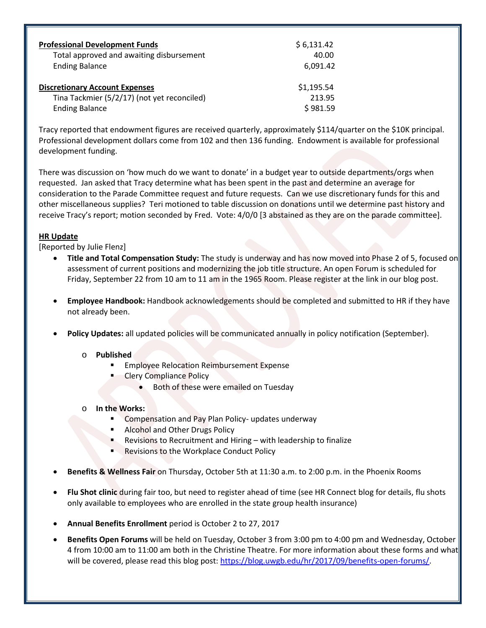| <b>Professional Development Funds</b>       | \$6,131.42 |
|---------------------------------------------|------------|
| Total approved and awaiting disbursement    | 40.00      |
| <b>Ending Balance</b>                       | 6,091.42   |
| <b>Discretionary Account Expenses</b>       | \$1,195.54 |
| Tina Tackmier (5/2/17) (not yet reconciled) | 213.95     |
| <b>Ending Balance</b>                       | \$981.59   |

Tracy reported that endowment figures are received quarterly, approximately \$114/quarter on the \$10K principal. Professional development dollars come from 102 and then 136 funding. Endowment is available for professional development funding.

There was discussion on 'how much do we want to donate' in a budget year to outside departments/orgs when requested. Jan asked that Tracy determine what has been spent in the past and determine an average for consideration to the Parade Committee request and future requests. Can we use discretionary funds for this and other miscellaneous supplies? Teri motioned to table discussion on donations until we determine past history and receive Tracy's report; motion seconded by Fred. Vote: 4/0/0 [3 abstained as they are on the parade committee].

# **HR Update**

[Reported by Julie Flenz]

- **Title and Total Compensation Study:** The study is underway and has now moved into Phase 2 of 5, focused on assessment of current positions and modernizing the job title structure. An open Forum is scheduled for Friday, September 22 from 10 am to 11 am in the 1965 Room. Please register at the link in our blog post.
- **Employee Handbook:** Handbook acknowledgements should be completed and submitted to HR if they have not already been.
- **Policy Updates:** all updated policies will be communicated annually in policy notification (September).

## o **Published**

- Employee Relocation Reimbursement Expense
	- Clery Compliance Policy
		- Both of these were emailed on Tuesday

## o **In the Works:**

- Compensation and Pay Plan Policy- updates underway
- Alcohol and Other Drugs Policy
- Revisions to Recruitment and Hiring with leadership to finalize
- Revisions to the Workplace Conduct Policy
- **Benefits & Wellness Fair** on Thursday, October 5th at 11:30 a.m. to 2:00 p.m. in the Phoenix Rooms
- **Flu Shot clinic** during fair too, but need to register ahead of time (see HR Connect blog for details, flu shots only available to employees who are enrolled in the state group health insurance)
- **Annual Benefits Enrollment** period is October 2 to 27, 2017
- **Benefits Open Forums** will be held on Tuesday, October 3 from 3:00 pm to 4:00 pm and Wednesday, October 4 from 10:00 am to 11:00 am both in the Christine Theatre. For more information about these forms and what will be covered, please read this blog post[: https://blog.uwgb.edu/hr/2017/09/benefits-open-forums/.](https://blog.uwgb.edu/hr/2017/09/benefits-open-forums/)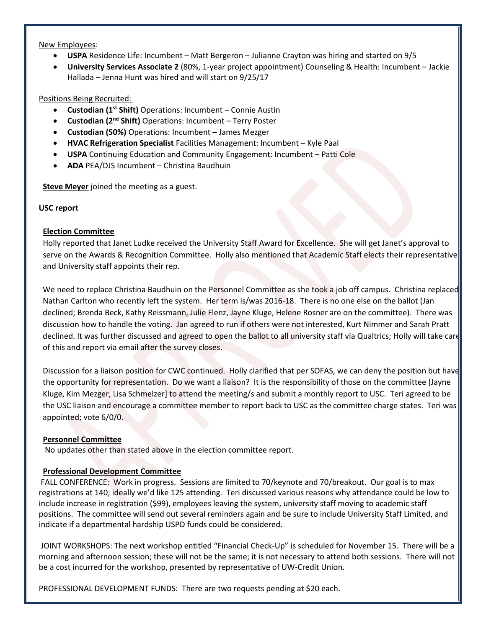#### New Employees:

- **USPA** Residence Life: Incumbent Matt Bergeron Julianne Crayton was hiring and started on 9/5
- **University Services Associate 2** (80%, 1-year project appointment) Counseling & Health: Incumbent Jackie Hallada – Jenna Hunt was hired and will start on 9/25/17

## Positions Being Recruited:

- **Custodian (1st Shift)** Operations: Incumbent Connie Austin
- **Custodian (2nd Shift)** Operations: Incumbent Terry Poster
- **Custodian (50%)** Operations: Incumbent James Mezger
- **HVAC Refrigeration Specialist** Facilities Management: Incumbent Kyle Paal
- **USPA** Continuing Education and Community Engagement: Incumbent Patti Cole
- **ADA** PEA/DJS Incumbent Christina Baudhuin

**Steve Meyer** joined the meeting as a guest.

# **USC report**

# **Election Committee**

Holly reported that Janet Ludke received the University Staff Award for Excellence. She will get Janet's approval to serve on the Awards & Recognition Committee. Holly also mentioned that Academic Staff elects their representative and University staff appoints their rep.

We need to replace Christina Baudhuin on the Personnel Committee as she took a job off campus. Christina replaced Nathan Carlton who recently left the system. Her term is/was 2016-18. There is no one else on the ballot (Jan declined; Brenda Beck, Kathy Reissmann, Julie Flenz, Jayne Kluge, Helene Rosner are on the committee). There was discussion how to handle the voting. Jan agreed to run if others were not interested, Kurt Nimmer and Sarah Pratt declined. It was further discussed and agreed to open the ballot to all university staff via Qualtrics; Holly will take care of this and report via email after the survey closes.

Discussion for a liaison position for CWC continued. Holly clarified that per SOFAS, we can deny the position but have the opportunity for representation. Do we want a liaison? It is the responsibility of those on the committee [Jayne Kluge, Kim Mezger, Lisa Schmelzer] to attend the meeting/s and submit a monthly report to USC. Teri agreed to be the USC liaison and encourage a committee member to report back to USC as the committee charge states. Teri was appointed; vote 6/0/0.

## **Personnel Committee**

No updates other than stated above in the election committee report.

## **Professional Development Committee**

FALL CONFERENCE: Work in progress. Sessions are limited to 70/keynote and 70/breakout. Our goal is to max registrations at 140; ideally we'd like 125 attending. Teri discussed various reasons why attendance could be low to include increase in registration (\$99), employees leaving the system, university staff moving to academic staff positions. The committee will send out several reminders again and be sure to include University Staff Limited, and indicate if a departmental hardship USPD funds could be considered.

JOINT WORKSHOPS: The next workshop entitled "Financial Check-Up" is scheduled for November 15. There will be a morning and afternoon session; these will not be the same; it is not necessary to attend both sessions. There will not be a cost incurred for the workshop, presented by representative of UW-Credit Union.

PROFESSIONAL DEVELOPMENT FUNDS: There are two requests pending at \$20 each.